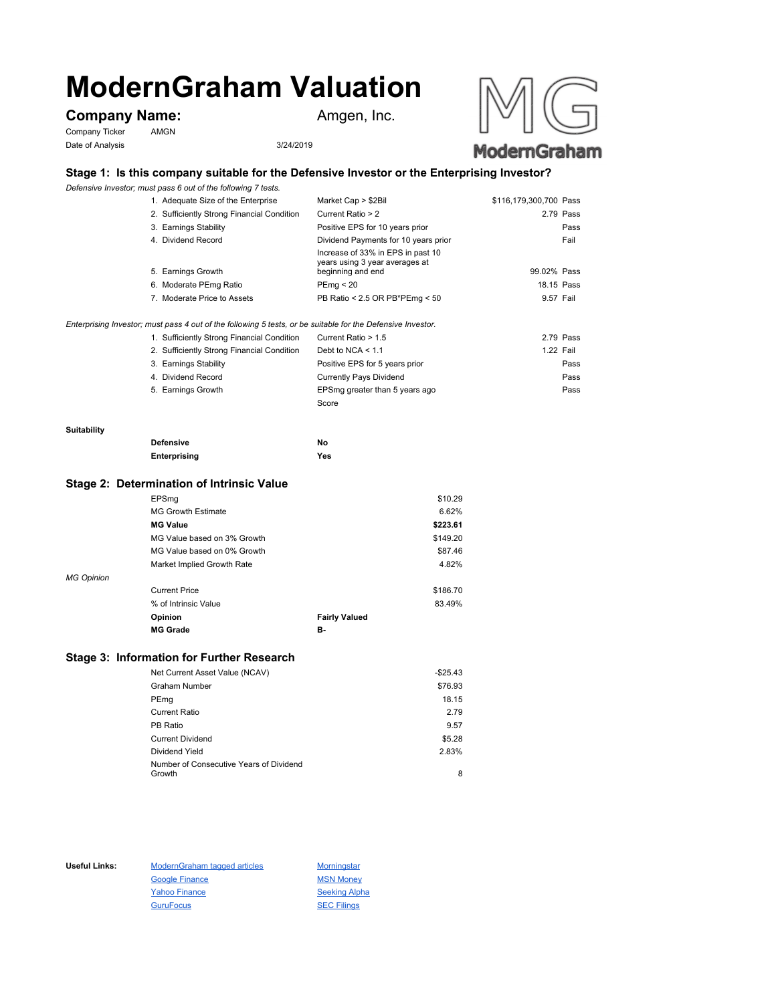# **ModernGraham Valuation**

# **Company Name:** Amgen, Inc.

Company Ticker AMGN Date of Analysis 3/24/2019





## **Stage 1: Is this company suitable for the Defensive Investor or the Enterprising Investor?**

*Defensive Investor; must pass 6 out of the following 7 tests.*

| 1. Adequate Size of the Enterprise         | Market Cap > \$2Bil                                                                      | \$116,179,300,700 Pass |
|--------------------------------------------|------------------------------------------------------------------------------------------|------------------------|
| 2. Sufficiently Strong Financial Condition | Current Ratio > 2                                                                        | 2.79 Pass              |
| 3. Earnings Stability                      | Positive EPS for 10 years prior                                                          | Pass                   |
| 4. Dividend Record                         | Dividend Payments for 10 years prior                                                     | Fail                   |
| 5. Earnings Growth                         | Increase of 33% in EPS in past 10<br>years using 3 year averages at<br>beginning and end | 99.02% Pass            |
| 6. Moderate PEmg Ratio                     | PEmq < 20                                                                                | 18.15 Pass             |
| 7. Moderate Price to Assets                | PB Ratio < 2.5 OR PB*PEmg < 50                                                           | 9.57 Fail              |
|                                            |                                                                                          |                        |
|                                            |                                                                                          |                        |

*Enterprising Investor; must pass 4 out of the following 5 tests, or be suitable for the Defensive Investor.*

| 1. Sufficiently Strong Financial Condition | Current Ratio > 1.5            | 2.79 Pass |
|--------------------------------------------|--------------------------------|-----------|
| 2. Sufficiently Strong Financial Condition | Debt to NCA $<$ 1.1            | 1.22 Fail |
| 3. Earnings Stability                      | Positive EPS for 5 years prior | Pass      |
| 4. Dividend Record                         | <b>Currently Pays Dividend</b> | Pass      |
| 5. Earnings Growth                         | EPSmg greater than 5 years ago | Pass      |
|                                            | Score                          |           |

#### **Suitability**

| <b>Defensive</b> | Νo  |
|------------------|-----|
| Enterprising     | Yes |

### **Stage 2: Determination of Intrinsic Value**

|                   | EPSmg                       |                      | \$10.29  |
|-------------------|-----------------------------|----------------------|----------|
|                   | <b>MG Growth Estimate</b>   |                      | 6.62%    |
|                   | <b>MG Value</b>             |                      | \$223.61 |
|                   | MG Value based on 3% Growth |                      | \$149.20 |
|                   | MG Value based on 0% Growth |                      | \$87.46  |
|                   | Market Implied Growth Rate  |                      | 4.82%    |
| <b>MG Opinion</b> |                             |                      |          |
|                   | <b>Current Price</b>        |                      | \$186.70 |
|                   | % of Intrinsic Value        |                      | 83.49%   |
|                   | Opinion                     | <b>Fairly Valued</b> |          |
|                   | <b>MG Grade</b>             | в-                   |          |
|                   |                             |                      |          |

## **Stage 3: Information for Further Research**

| Net Current Asset Value (NCAV)          | $-$25.43$ |
|-----------------------------------------|-----------|
| Graham Number                           | \$76.93   |
| PEmg                                    | 18.15     |
| Current Ratio                           | 2.79      |
| PB Ratio                                | 9.57      |
| <b>Current Dividend</b>                 | \$5.28    |
| Dividend Yield                          | 2.83%     |
| Number of Consecutive Years of Dividend |           |
| Growth                                  | 8         |

Useful Links: ModernGraham tagged articles Morningstar Google Finance MSN Money Yahoo Finance Seeking Alpha GuruFocus SEC Filings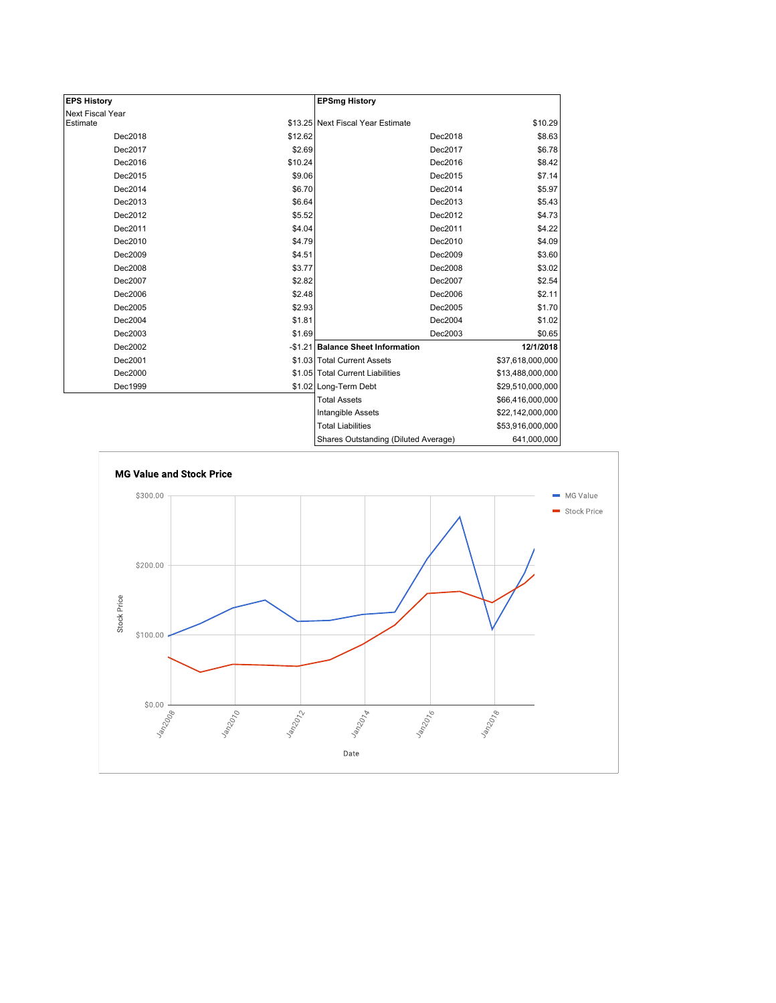| <b>EPS History</b> |         | <b>EPSmg History</b>                 |                  |
|--------------------|---------|--------------------------------------|------------------|
| Next Fiscal Year   |         |                                      |                  |
| Estimate           |         | \$13.25 Next Fiscal Year Estimate    | \$10.29          |
| Dec2018            | \$12.62 | Dec2018                              | \$8.63           |
| Dec2017            | \$2.69  | Dec2017                              | \$6.78           |
| Dec2016            | \$10.24 | Dec2016                              | \$8.42           |
| Dec2015            | \$9.06  | Dec2015                              | \$7.14           |
| Dec2014            | \$6.70  | Dec2014                              | \$5.97           |
| Dec2013            | \$6.64  | Dec2013                              | \$5.43           |
| Dec2012            | \$5.52  | Dec2012                              | \$4.73           |
| Dec2011            | \$4.04  | Dec2011                              | \$4.22           |
| Dec2010            | \$4.79  | Dec2010                              | \$4.09           |
| Dec2009            | \$4.51  | Dec2009                              | \$3.60           |
| Dec2008            | \$3.77  | Dec2008                              | \$3.02           |
| Dec2007            | \$2.82  | Dec2007                              | \$2.54           |
| Dec2006            | \$2.48  | Dec2006                              | \$2.11           |
| Dec2005            | \$2.93  | Dec2005                              | \$1.70           |
| Dec2004            | \$1.81  | Dec2004                              | \$1.02           |
| Dec2003            | \$1.69  | Dec2003                              | \$0.65           |
| Dec2002            |         | -\$1.21 Balance Sheet Information    | 12/1/2018        |
| Dec2001            |         | \$1.03 Total Current Assets          | \$37,618,000,000 |
| Dec2000            |         | \$1.05 Total Current Liabilities     | \$13,488,000,000 |
| Dec1999            |         | \$1.02 Long-Term Debt                | \$29,510,000,000 |
|                    |         | <b>Total Assets</b>                  | \$66,416,000,000 |
|                    |         | Intangible Assets                    | \$22,142,000,000 |
|                    |         | <b>Total Liabilities</b>             | \$53,916,000,000 |
|                    |         | Shares Outstanding (Diluted Average) | 641,000,000      |